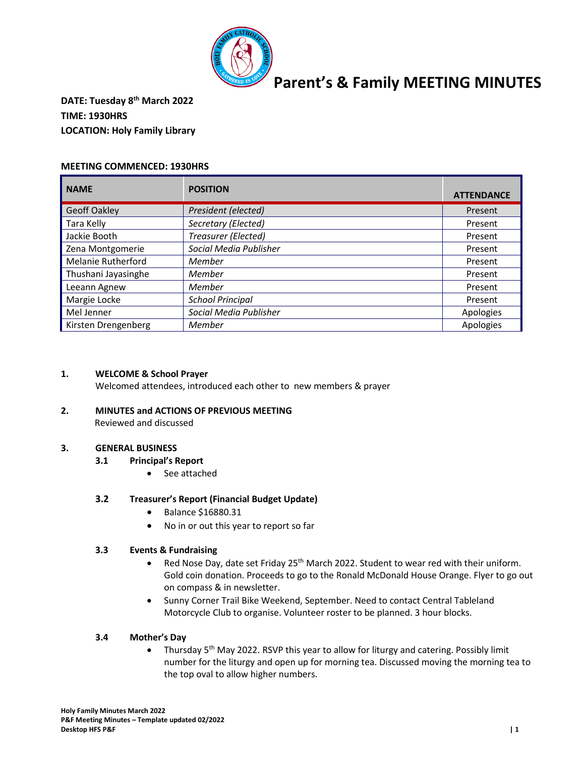

### **DATE: Tuesday 8th March 2022 TIME: 1930HRS LOCATION: Holy Family Library**

### **MEETING COMMENCED: 1930HRS**

| <b>NAME</b>               | <b>POSITION</b>         | <b>ATTENDANCE</b> |
|---------------------------|-------------------------|-------------------|
| <b>Geoff Oakley</b>       | President (elected)     | Present           |
| Tara Kelly                | Secretary (Elected)     | Present           |
| Jackie Booth              | Treasurer (Elected)     | Present           |
| Zena Montgomerie          | Social Media Publisher  | Present           |
| <b>Melanie Rutherford</b> | Member                  | Present           |
| Thushani Jayasinghe       | Member                  | Present           |
| Leeann Agnew              | Member                  | Present           |
| Margie Locke              | <b>School Principal</b> | Present           |
| Mel Jenner                | Social Media Publisher  | Apologies         |
| Kirsten Drengenberg       | Member                  | Apologies         |

### **1. WELCOME & School Prayer**

Welcomed attendees, introduced each other to new members & prayer

### **2. MINUTES and ACTIONS OF PREVIOUS MEETING**

Reviewed and discussed

### **3. GENERAL BUSINESS**

- **3.1 Principal's Report**
	- See attached

### **3.2 Treasurer's Report (Financial Budget Update)**

- Balance \$16880.31
- No in or out this year to report so far

### **3.3 Events & Fundraising**

- Red Nose Day, date set Friday 25<sup>th</sup> March 2022. Student to wear red with their uniform. Gold coin donation. Proceeds to go to the Ronald McDonald House Orange. Flyer to go out on compass & in newsletter.
- Sunny Corner Trail Bike Weekend, September. Need to contact Central Tableland Motorcycle Club to organise. Volunteer roster to be planned. 3 hour blocks.

### **3.4 Mother's Day**

• Thursday 5<sup>th</sup> May 2022. RSVP this year to allow for liturgy and catering. Possibly limit number for the liturgy and open up for morning tea. Discussed moving the morning tea to the top oval to allow higher numbers.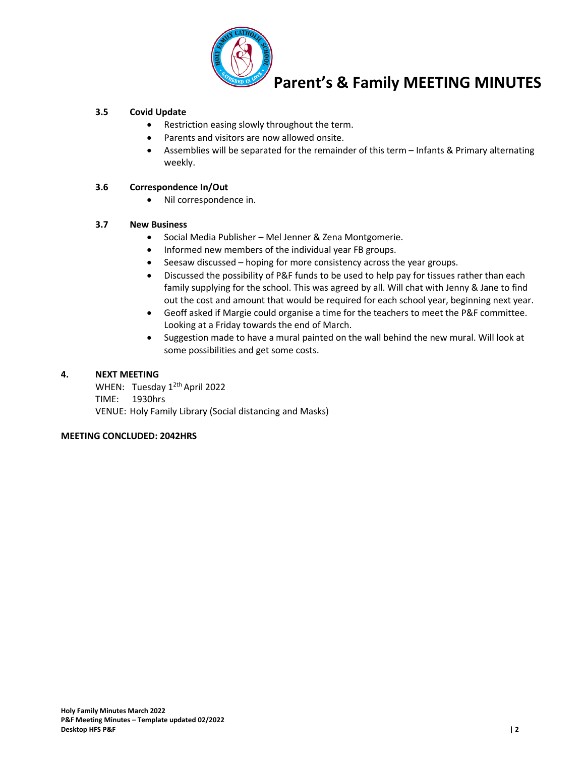

### **3.5 Covid Update**

- Restriction easing slowly throughout the term.
- Parents and visitors are now allowed onsite.
- Assemblies will be separated for the remainder of this term Infants & Primary alternating weekly.

### **3.6 Correspondence In/Out**

• Nil correspondence in.

### **3.7 New Business**

- Social Media Publisher Mel Jenner & Zena Montgomerie.
- Informed new members of the individual year FB groups.
- Seesaw discussed hoping for more consistency across the year groups.
- Discussed the possibility of P&F funds to be used to help pay for tissues rather than each family supplying for the school. This was agreed by all. Will chat with Jenny & Jane to find out the cost and amount that would be required for each school year, beginning next year.
- Geoff asked if Margie could organise a time for the teachers to meet the P&F committee. Looking at a Friday towards the end of March.
- Suggestion made to have a mural painted on the wall behind the new mural. Will look at some possibilities and get some costs.

### **4. NEXT MEETING**

WHEN: Tuesday 1<sup>2th</sup> April 2022 TIME: 1930hrs VENUE: Holy Family Library (Social distancing and Masks)

### **MEETING CONCLUDED: 2042HRS**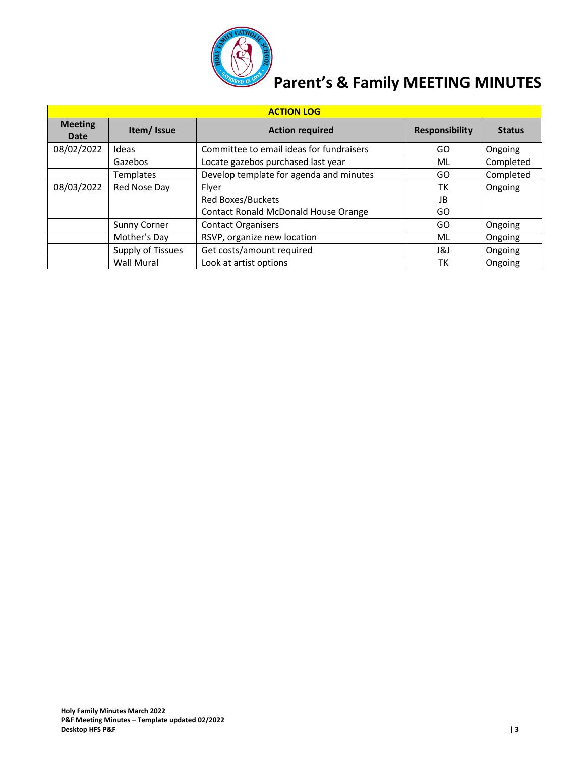

| <b>ACTION LOG</b>      |                     |                                          |                       |               |  |
|------------------------|---------------------|------------------------------------------|-----------------------|---------------|--|
| <b>Meeting</b><br>Date | Item/Issue          | <b>Action required</b>                   | <b>Responsibility</b> | <b>Status</b> |  |
| 08/02/2022             | Ideas               | Committee to email ideas for fundraisers | GO                    | Ongoing       |  |
|                        | Gazebos             | Locate gazebos purchased last year       | ML                    | Completed     |  |
|                        | <b>Templates</b>    | Develop template for agenda and minutes  | GO                    | Completed     |  |
| 08/03/2022             | Red Nose Day        | Flyer                                    | ТK                    | Ongoing       |  |
|                        |                     | <b>Red Boxes/Buckets</b>                 | JB                    |               |  |
|                        |                     | Contact Ronald McDonald House Orange     | GO                    |               |  |
|                        | <b>Sunny Corner</b> | <b>Contact Organisers</b>                | GO                    | Ongoing       |  |
|                        | Mother's Day        | RSVP, organize new location              | ML                    | Ongoing       |  |
|                        | Supply of Tissues   | Get costs/amount required                | ا 18                  | Ongoing       |  |
|                        | <b>Wall Mural</b>   | Look at artist options                   | ТK                    | Ongoing       |  |